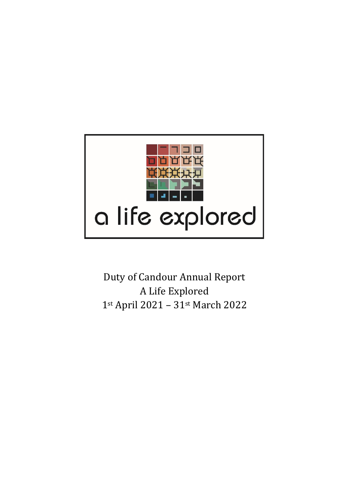

Duty of Candour Annual Report A Life Explored 1st April 2021 – 31st March 2022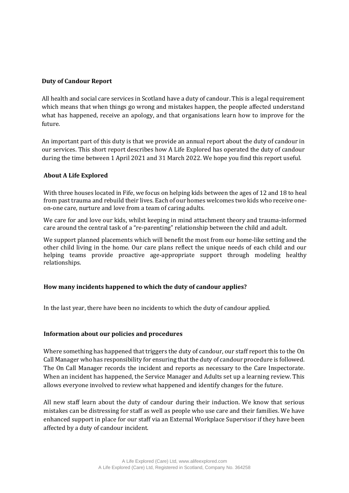## **Duty of Candour Report**

All health and social care services in Scotland have a duty of candour. This is a legal requirement which means that when things go wrong and mistakes happen, the people affected understand what has happened, receive an apology, and that organisations learn how to improve for the future.

An important part of this duty is that we provide an annual report about the duty of candour in our services. This short report describes how A Life Explored has operated the duty of candour during the time between 1 April 2021 and 31 March 2022. We hope you find this report useful.

## **About A Life Explored**

With three houses located in Fife, we focus on helping kids between the ages of 12 and 18 to heal from past trauma and rebuild their lives. Each of our homes welcomes two kids who receive oneon-one care, nurture and love from a team of caring adults.

We care for and love our kids, whilst keeping in mind attachment theory and trauma-informed care around the central task of a "re-parenting" relationship between the child and adult.

We support planned placements which will benefit the most from our home-like setting and the other child living in the home. Our care plans reflect the unique needs of each child and our helping teams provide proactive age-appropriate support through modeling healthy relationships.

## **How many incidents happened to which the duty of candour applies?**

In the last year, there have been no incidents to which the duty of candour applied.

## **Information about our policies and procedures**

Where something has happened that triggers the duty of candour, our staff report this to the On Call Manager who has responsibility for ensuring that the duty of candour procedure is followed. The On Call Manager records the incident and reports as necessary to the Care Inspectorate. When an incident has happened, the Service Manager and Adults set up a learning review. This allows everyone involved to review what happened and identify changes for the future.

All new staff learn about the duty of candour during their induction. We know that serious mistakes can be distressing for staff as well as people who use care and their families. We have enhanced support in place for our staff via an External Workplace Supervisor if they have been affected by a duty of candour incident.